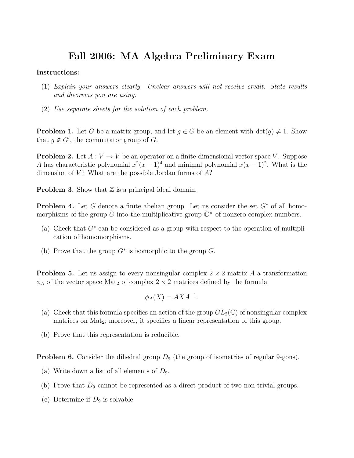## Fall 2006: MA Algebra Preliminary Exam

## Instructions:

- (1) Explain your answers clearly. Unclear answers will not receive credit. State results and theorems you are using.
- (2) Use separate sheets for the solution of each problem.

**Problem 1.** Let G be a matrix group, and let  $g \in G$  be an element with  $\det(g) \neq 1$ . Show that  $g \notin G'$ , the commutator group of G.

**Problem 2.** Let  $A: V \to V$  be an operator on a finite-dimensional vector space V. Suppose A has characteristic polynomial  $x^2(x-1)^4$  and minimal polynomial  $x(x-1)^2$ . What is the dimension of  $V$ ? What are the possible Jordan forms of  $A$ ?

**Problem 3.** Show that  $\mathbb{Z}$  is a principal ideal domain.

**Problem 4.** Let G denote a finite abelian group. Let us consider the set  $G^*$  of all homomorphisms of the group G into the multiplicative group  $\mathbb{C}^{\times}$  of nonzero complex numbers.

- (a) Check that  $G^*$  can be considered as a group with respect to the operation of multiplication of homomorphisms.
- (b) Prove that the group  $G^*$  is isomorphic to the group  $G$ .

**Problem 5.** Let us assign to every nonsingular complex  $2 \times 2$  matrix A a transformation  $\phi_A$  of the vector space Mat<sub>2</sub> of complex  $2 \times 2$  matrices defined by the formula

$$
\phi_A(X) = AXA^{-1}.
$$

- (a) Check that this formula specifies an action of the group  $GL_2(\mathbb{C})$  of nonsingular complex matrices on Mat<sub>2</sub>; moreover, it specifies a linear representation of this group.
- (b) Prove that this representation is reducible.

**Problem 6.** Consider the dihedral group  $D_9$  (the group of isometries of regular 9-gons).

- (a) Write down a list of all elements of  $D_9$ .
- (b) Prove that  $D_9$  cannot be represented as a direct product of two non-trivial groups.
- (c) Determine if  $D_9$  is solvable.